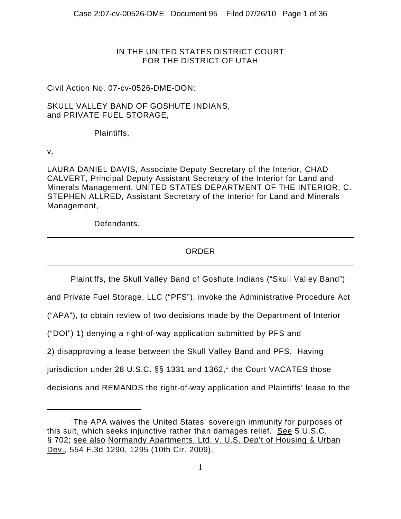### IN THE UNITED STATES DISTRICT COURT FOR THE DISTRICT OF UTAH

## Civil Action No. 07-cv-0526-DME-DON:

### SKULL VALLEY BAND OF GOSHUTE INDIANS, and PRIVATE FUEL STORAGE,

### Plaintiffs,

v.

LAURA DANIEL DAVIS, Associate Deputy Secretary of the Interior, CHAD CALVERT, Principal Deputy Assistant Secretary of the Interior for Land and Minerals Management, UNITED STATES DEPARTMENT OF THE INTERIOR, C. STEPHEN ALLRED, Assistant Secretary of the Interior for Land and Minerals Management,

Defendants.

## ORDER

Plaintiffs, the Skull Valley Band of Goshute Indians ("Skull Valley Band")

and Private Fuel Storage, LLC ("PFS"), invoke the Administrative Procedure Act

("APA"), to obtain review of two decisions made by the Department of Interior

("DOI") 1) denying a right-of-way application submitted by PFS and

2) disapproving a lease between the Skull Valley Band and PFS. Having

jurisdiction under 28 U.S.C. §§ 1331 and 1362,<sup>1</sup> the Court VACATES those

decisions and REMANDS the right-of-way application and Plaintiffs' lease to the

<sup>&</sup>lt;sup>1</sup>The APA waives the United States' sovereign immunity for purposes of this suit, which seeks injunctive rather than damages relief. See 5 U.S.C. § 702; see also Normandy Apartments, Ltd. v. U.S. Dep't of Housing & Urban Dev., 554 F.3d 1290, 1295 (10th Cir. 2009).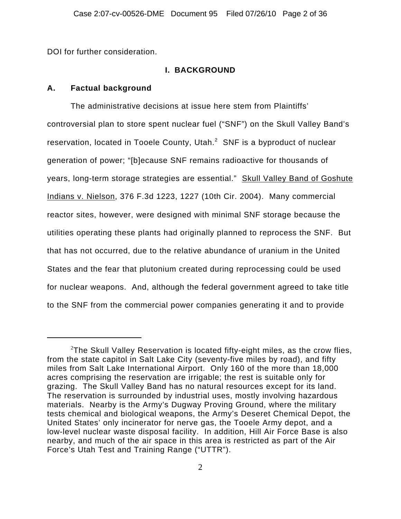DOI for further consideration.

## **I. BACKGROUND**

## **A. Factual background**

The administrative decisions at issue here stem from Plaintiffs' controversial plan to store spent nuclear fuel ("SNF") on the Skull Valley Band's reservation, located in Tooele County, Utah. $^2$  SNF is a byproduct of nuclear generation of power; "[b]ecause SNF remains radioactive for thousands of years, long-term storage strategies are essential." Skull Valley Band of Goshute Indians v. Nielson, 376 F.3d 1223, 1227 (10th Cir. 2004). Many commercial reactor sites, however, were designed with minimal SNF storage because the utilities operating these plants had originally planned to reprocess the SNF. But that has not occurred, due to the relative abundance of uranium in the United States and the fear that plutonium created during reprocessing could be used for nuclear weapons. And, although the federal government agreed to take title to the SNF from the commercial power companies generating it and to provide

 $^{2}$ The Skull Valley Reservation is located fifty-eight miles, as the crow flies, from the state capitol in Salt Lake City (seventy-five miles by road), and fifty miles from Salt Lake International Airport. Only 160 of the more than 18,000 acres comprising the reservation are irrigable; the rest is suitable only for grazing. The Skull Valley Band has no natural resources except for its land. The reservation is surrounded by industrial uses, mostly involving hazardous materials. Nearby is the Army's Dugway Proving Ground, where the military tests chemical and biological weapons, the Army's Deseret Chemical Depot, the United States' only incinerator for nerve gas, the Tooele Army depot, and a low-level nuclear waste disposal facility. In addition, Hill Air Force Base is also nearby, and much of the air space in this area is restricted as part of the Air Force's Utah Test and Training Range ("UTTR").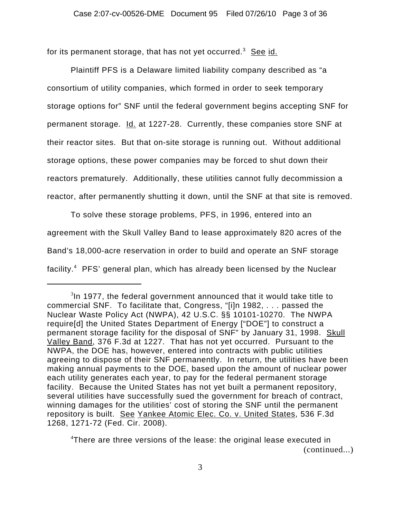for its permanent storage, that has not yet occurred. $^3\;$  <u>See id.</u>

Plaintiff PFS is a Delaware limited liability company described as "a consortium of utility companies, which formed in order to seek temporary storage options for" SNF until the federal government begins accepting SNF for permanent storage. **Id.** at 1227-28. Currently, these companies store SNF at their reactor sites. But that on-site storage is running out. Without additional storage options, these power companies may be forced to shut down their reactors prematurely. Additionally, these utilities cannot fully decommission a reactor, after permanently shutting it down, until the SNF at that site is removed.

To solve these storage problems, PFS, in 1996, entered into an agreement with the Skull Valley Band to lease approximately 820 acres of the Band's 18,000-acre reservation in order to build and operate an SNF storage facility.<sup>4</sup> PFS' general plan, which has already been licensed by the Nuclear

 $3$ In 1977, the federal government announced that it would take title to commercial SNF. To facilitate that, Congress, "[i]n 1982, . . . passed the Nuclear Waste Policy Act (NWPA), 42 U.S.C. §§ 10101-10270. The NWPA require[d] the United States Department of Energy ["DOE"] to construct a permanent storage facility for the disposal of SNF" by January 31, 1998. Skull Valley Band, 376 F.3d at 1227. That has not yet occurred. Pursuant to the NWPA, the DOE has, however, entered into contracts with public utilities agreeing to dispose of their SNF permanently. In return, the utilities have been making annual payments to the DOE, based upon the amount of nuclear power each utility generates each year, to pay for the federal permanent storage facility. Because the United States has not yet built a permanent repository, several utilities have successfully sued the government for breach of contract, winning damages for the utilities' cost of storing the SNF until the permanent repository is built. See Yankee Atomic Elec. Co. v. United States, 536 F.3d 1268, 1271-72 (Fed. Cir. 2008).

<sup>&</sup>lt;sup>4</sup>There are three versions of the lease: the original lease executed in (continued...)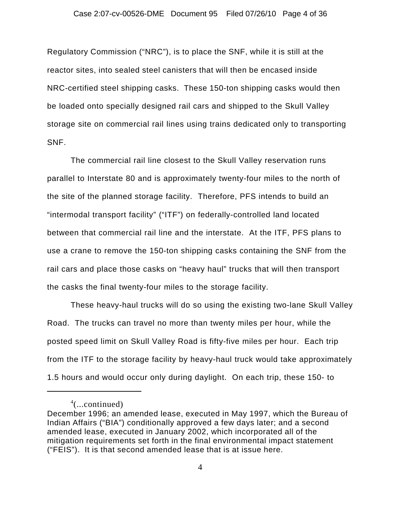Regulatory Commission ("NRC"), is to place the SNF, while it is still at the reactor sites, into sealed steel canisters that will then be encased inside NRC-certified steel shipping casks. These 150-ton shipping casks would then be loaded onto specially designed rail cars and shipped to the Skull Valley storage site on commercial rail lines using trains dedicated only to transporting SNF.

The commercial rail line closest to the Skull Valley reservation runs parallel to Interstate 80 and is approximately twenty-four miles to the north of the site of the planned storage facility. Therefore, PFS intends to build an "intermodal transport facility" ("ITF") on federally-controlled land located between that commercial rail line and the interstate. At the ITF, PFS plans to use a crane to remove the 150-ton shipping casks containing the SNF from the rail cars and place those casks on "heavy haul" trucks that will then transport the casks the final twenty-four miles to the storage facility.

These heavy-haul trucks will do so using the existing two-lane Skull Valley Road. The trucks can travel no more than twenty miles per hour, while the posted speed limit on Skull Valley Road is fifty-five miles per hour. Each trip from the ITF to the storage facility by heavy-haul truck would take approximately 1.5 hours and would occur only during daylight. On each trip, these 150- to

<sup>4</sup> (...continued)

December 1996; an amended lease, executed in May 1997, which the Bureau of Indian Affairs ("BIA") conditionally approved a few days later; and a second amended lease, executed in January 2002, which incorporated all of the mitigation requirements set forth in the final environmental impact statement ("FEIS"). It is that second amended lease that is at issue here.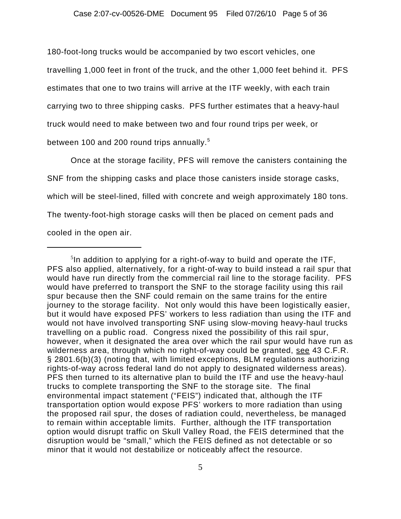180-foot-long trucks would be accompanied by two escort vehicles, one travelling 1,000 feet in front of the truck, and the other 1,000 feet behind it. PFS estimates that one to two trains will arrive at the ITF weekly, with each train carrying two to three shipping casks. PFS further estimates that a heavy-haul truck would need to make between two and four round trips per week, or between 100 and 200 round trips annually.<sup>5</sup>

Once at the storage facility, PFS will remove the canisters containing the SNF from the shipping casks and place those canisters inside storage casks, which will be steel-lined, filled with concrete and weigh approximately 180 tons. The twenty-foot-high storage casks will then be placed on cement pads and cooled in the open air.

 $5$ In addition to applying for a right-of-way to build and operate the ITF, PFS also applied, alternatively, for a right-of-way to build instead a rail spur that would have run directly from the commercial rail line to the storage facility. PFS would have preferred to transport the SNF to the storage facility using this rail spur because then the SNF could remain on the same trains for the entire journey to the storage facility. Not only would this have been logistically easier, but it would have exposed PFS' workers to less radiation than using the ITF and would not have involved transporting SNF using slow-moving heavy-haul trucks travelling on a public road. Congress nixed the possibility of this rail spur, however, when it designated the area over which the rail spur would have run as wilderness area, through which no right-of-way could be granted, see 43 C.F.R. § 2801.6(b)(3) (noting that, with limited exceptions, BLM regulations authorizing rights-of-way across federal land do not apply to designated wilderness areas). PFS then turned to its alternative plan to build the ITF and use the heavy-haul trucks to complete transporting the SNF to the storage site. The final environmental impact statement ("FEIS") indicated that, although the ITF transportation option would expose PFS' workers to more radiation than using the proposed rail spur, the doses of radiation could, nevertheless, be managed to remain within acceptable limits. Further, although the ITF transportation option would disrupt traffic on Skull Valley Road, the FEIS determined that the disruption would be "small," which the FEIS defined as not detectable or so minor that it would not destabilize or noticeably affect the resource.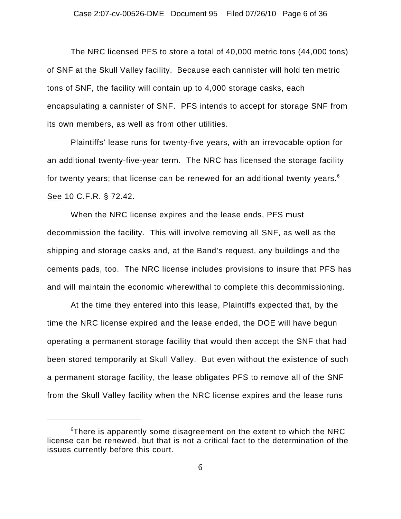The NRC licensed PFS to store a total of 40,000 metric tons (44,000 tons) of SNF at the Skull Valley facility. Because each cannister will hold ten metric tons of SNF, the facility will contain up to 4,000 storage casks, each encapsulating a cannister of SNF. PFS intends to accept for storage SNF from its own members, as well as from other utilities.

Plaintiffs' lease runs for twenty-five years, with an irrevocable option for an additional twenty-five-year term. The NRC has licensed the storage facility for twenty years; that license can be renewed for an additional twenty years.<sup>6</sup> See 10 C.F.R. § 72.42.

When the NRC license expires and the lease ends, PFS must decommission the facility. This will involve removing all SNF, as well as the shipping and storage casks and, at the Band's request, any buildings and the cements pads, too. The NRC license includes provisions to insure that PFS has and will maintain the economic wherewithal to complete this decommissioning.

At the time they entered into this lease, Plaintiffs expected that, by the time the NRC license expired and the lease ended, the DOE will have begun operating a permanent storage facility that would then accept the SNF that had been stored temporarily at Skull Valley. But even without the existence of such a permanent storage facility, the lease obligates PFS to remove all of the SNF from the Skull Valley facility when the NRC license expires and the lease runs

 $6$ There is apparently some disagreement on the extent to which the NRC license can be renewed, but that is not a critical fact to the determination of the issues currently before this court.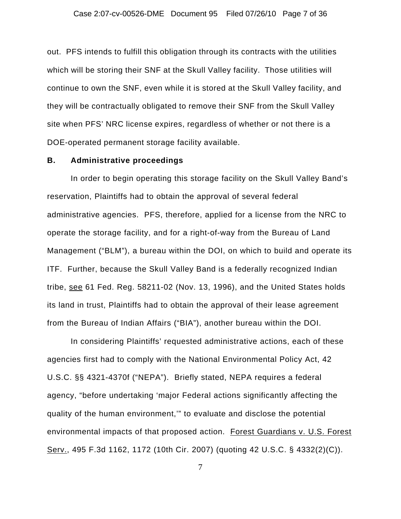### Case 2:07-cv-00526-DME Document 95 Filed 07/26/10 Page 7 of 36

out. PFS intends to fulfill this obligation through its contracts with the utilities which will be storing their SNF at the Skull Valley facility. Those utilities will continue to own the SNF, even while it is stored at the Skull Valley facility, and they will be contractually obligated to remove their SNF from the Skull Valley site when PFS' NRC license expires, regardless of whether or not there is a DOE-operated permanent storage facility available.

### **B. Administrative proceedings**

In order to begin operating this storage facility on the Skull Valley Band's reservation, Plaintiffs had to obtain the approval of several federal administrative agencies. PFS, therefore, applied for a license from the NRC to operate the storage facility, and for a right-of-way from the Bureau of Land Management ("BLM"), a bureau within the DOI, on which to build and operate its ITF. Further, because the Skull Valley Band is a federally recognized Indian tribe, see 61 Fed. Reg. 58211-02 (Nov. 13, 1996), and the United States holds its land in trust, Plaintiffs had to obtain the approval of their lease agreement from the Bureau of Indian Affairs ("BIA"), another bureau within the DOI.

In considering Plaintiffs' requested administrative actions, each of these agencies first had to comply with the National Environmental Policy Act, 42 U.S.C. §§ 4321-4370f ("NEPA"). Briefly stated, NEPA requires a federal agency, "before undertaking 'major Federal actions significantly affecting the quality of the human environment,'" to evaluate and disclose the potential environmental impacts of that proposed action. Forest Guardians v. U.S. Forest Serv., 495 F.3d 1162, 1172 (10th Cir. 2007) (quoting 42 U.S.C. § 4332(2)(C)).

7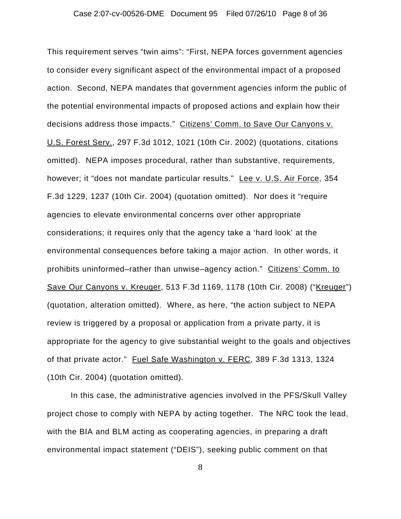This requirement serves "twin aims": "First, NEPA forces government agencies to consider every significant aspect of the environmental impact of a proposed action. Second, NEPA mandates that government agencies inform the public of the potential environmental impacts of proposed actions and explain how their decisions address those impacts." Citizens' Comm. to Save Our Canyons v. U.S. Forest Serv., 297 F.3d 1012, 1021 (10th Cir. 2002) (quotations, citations omitted). NEPA imposes procedural, rather than substantive, requirements, however; it "does not mandate particular results." Lee v. U.S. Air Force, 354 F.3d 1229, 1237 (10th Cir. 2004) (quotation omitted). Nor does it "require agencies to elevate environmental concerns over other appropriate considerations; it requires only that the agency take a 'hard look' at the environmental consequences before taking a major action. In other words, it prohibits uninformed–rather than unwise–agency action." Citizens' Comm. to Save Our Canyons v. Kreuger, 513 F.3d 1169, 1178 (10th Cir. 2008) ("Kreuger") (quotation, alteration omitted). Where, as here, "the action subject to NEPA review is triggered by a proposal or application from a private party, it is appropriate for the agency to give substantial weight to the goals and objectives of that private actor." Fuel Safe Washington v. FERC, 389 F.3d 1313, 1324 (10th Cir. 2004) (quotation omitted).

In this case, the administrative agencies involved in the PFS/Skull Valley project chose to comply with NEPA by acting together. The NRC took the lead, with the BIA and BLM acting as cooperating agencies, in preparing a draft environmental impact statement ("DEIS"), seeking public comment on that

8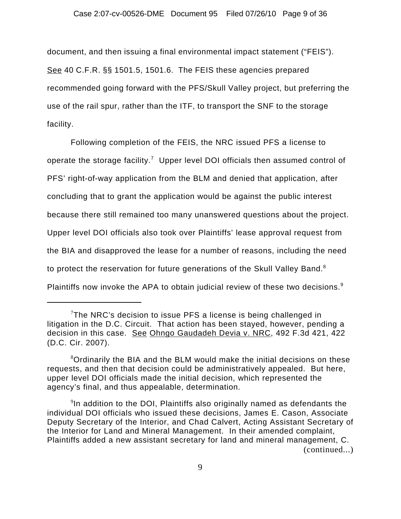document, and then issuing a final environmental impact statement ("FEIS"). See 40 C.F.R. §§ 1501.5, 1501.6. The FEIS these agencies prepared recommended going forward with the PFS/Skull Valley project, but preferring the use of the rail spur, rather than the ITF, to transport the SNF to the storage facility.

Following completion of the FEIS, the NRC issued PFS a license to operate the storage facility.<sup>7</sup> Upper level DOI officials then assumed control of PFS' right-of-way application from the BLM and denied that application, after concluding that to grant the application would be against the public interest because there still remained too many unanswered questions about the project. Upper level DOI officials also took over Plaintiffs' lease approval request from the BIA and disapproved the lease for a number of reasons, including the need to protect the reservation for future generations of the Skull Valley Band.<sup>8</sup> Plaintiffs now invoke the APA to obtain judicial review of these two decisions.<sup>9</sup>

 $7$ The NRC's decision to issue PFS a license is being challenged in litigation in the D.C. Circuit. That action has been stayed, however, pending a decision in this case. See Ohngo Gaudadeh Devia v. NRC, 492 F.3d 421, 422 (D.C. Cir. 2007).

<sup>&</sup>lt;sup>8</sup>Ordinarily the BIA and the BLM would make the initial decisions on these requests, and then that decision could be administratively appealed. But here, upper level DOI officials made the initial decision, which represented the agency's final, and thus appealable, determination.

 $9$ In addition to the DOI, Plaintiffs also originally named as defendants the individual DOI officials who issued these decisions, James E. Cason, Associate Deputy Secretary of the Interior, and Chad Calvert, Acting Assistant Secretary of the Interior for Land and Mineral Management. In their amended complaint, Plaintiffs added a new assistant secretary for land and mineral management, C. (continued...)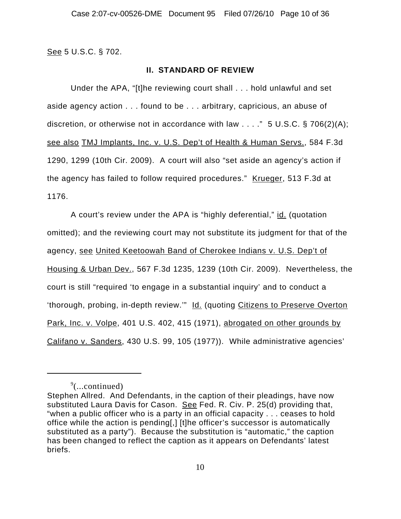See 5 U.S.C. § 702.

### **II. STANDARD OF REVIEW**

Under the APA, "[t]he reviewing court shall . . . hold unlawful and set aside agency action . . . found to be . . . arbitrary, capricious, an abuse of discretion, or otherwise not in accordance with law  $\dots$ ." 5 U.S.C. § 706(2)(A); see also TMJ Implants, Inc. v. U.S. Dep't of Health & Human Servs., 584 F.3d 1290, 1299 (10th Cir. 2009). A court will also "set aside an agency's action if the agency has failed to follow required procedures." Krueger, 513 F.3d at 1176.

A court's review under the APA is "highly deferential," id. (quotation omitted); and the reviewing court may not substitute its judgment for that of the agency, see United Keetoowah Band of Cherokee Indians v. U.S. Dep't of Housing & Urban Dev., 567 F.3d 1235, 1239 (10th Cir. 2009). Nevertheless, the court is still "required 'to engage in a substantial inquiry' and to conduct a 'thorough, probing, in-depth review.'" Id. (quoting Citizens to Preserve Overton Park, Inc. v. Volpe, 401 U.S. 402, 415 (1971), abrogated on other grounds by Califano v. Sanders, 430 U.S. 99, 105 (1977)). While administrative agencies'

 $\sqrt[9]{$ ...continued)

Stephen Allred. And Defendants, in the caption of their pleadings, have now substituted Laura Davis for Cason. See Fed. R. Civ. P. 25(d) providing that, "when a public officer who is a party in an official capacity . . . ceases to hold office while the action is pending[,] [t]he officer's successor is automatically substituted as a party"). Because the substitution is "automatic," the caption has been changed to reflect the caption as it appears on Defendants' latest briefs.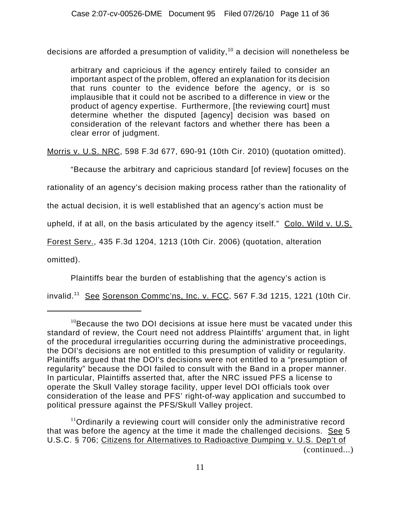decisions are afforded a presumption of validity,<sup>10</sup> a decision will nonetheless be

arbitrary and capricious if the agency entirely failed to consider an important aspect of the problem, offered an explanation for its decision that runs counter to the evidence before the agency, or is so implausible that it could not be ascribed to a difference in view or the product of agency expertise. Furthermore, [the reviewing court] must determine whether the disputed [agency] decision was based on consideration of the relevant factors and whether there has been a clear error of judgment.

Morris v. U.S. NRC, 598 F.3d 677, 690-91 (10th Cir. 2010) (quotation omitted).

"Because the arbitrary and capricious standard [of review] focuses on the

rationality of an agency's decision making process rather than the rationality of

the actual decision, it is well established that an agency's action must be

upheld, if at all, on the basis articulated by the agency itself." Colo. Wild v. U.S.

Forest Serv., 435 F.3d 1204, 1213 (10th Cir. 2006) (quotation, alteration

omitted).

Plaintiffs bear the burden of establishing that the agency's action is

invalid.<sup>11</sup> See Sorenson Commc'ns, Inc. v. FCC, 567 F.3d 1215, 1221 (10th Cir.

 $11$ Ordinarily a reviewing court will consider only the administrative record that was before the agency at the time it made the challenged decisions. See 5 U.S.C. § 706; Citizens for Alternatives to Radioactive Dumping v. U.S. Dep't of (continued...)

 $10B$  Because the two DOI decisions at issue here must be vacated under this standard of review, the Court need not address Plaintiffs' argument that, in light of the procedural irregularities occurring during the administrative proceedings, the DOI's decisions are not entitled to this presumption of validity or regularity. Plaintiffs argued that the DOI's decisions were not entitled to a "presumption of regularity" because the DOI failed to consult with the Band in a proper manner. In particular, Plaintiffs asserted that, after the NRC issued PFS a license to operate the Skull Valley storage facility, upper level DOI officials took over consideration of the lease and PFS' right-of-way application and succumbed to political pressure against the PFS/Skull Valley project.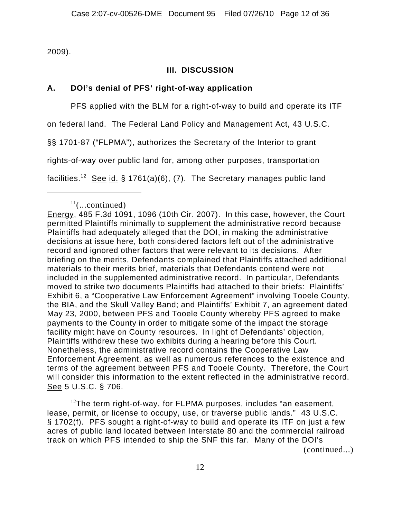2009).

## **III. DISCUSSION**

## **A. DOI's denial of PFS' right-of-way application**

PFS applied with the BLM for a right-of-way to build and operate its ITF

on federal land. The Federal Land Policy and Management Act, 43 U.S.C.

§§ 1701-87 ("FLPMA"), authorizes the Secretary of the Interior to grant

rights-of-way over public land for, among other purposes, transportation

facilities.<sup>12</sup> See id. § 1761(a)(6), (7). The Secretary manages public land

 $12$ The term right-of-way, for FLPMA purposes, includes "an easement, lease, permit, or license to occupy, use, or traverse public lands." 43 U.S.C. § 1702(f). PFS sought a right-of-way to build and operate its ITF on just a few acres of public land located between Interstate 80 and the commercial railroad track on which PFS intended to ship the SNF this far. Many of the DOI's (continued...)

 $11$ (...continued)

Energy, 485 F.3d 1091, 1096 (10th Cir. 2007). In this case, however, the Court permitted Plaintiffs minimally to supplement the administrative record because Plaintiffs had adequately alleged that the DOI, in making the administrative decisions at issue here, both considered factors left out of the administrative record and ignored other factors that were relevant to its decisions. After briefing on the merits, Defendants complained that Plaintiffs attached additional materials to their merits brief, materials that Defendants contend were not included in the supplemented administrative record. In particular, Defendants moved to strike two documents Plaintiffs had attached to their briefs: Plaintiffs' Exhibit 6, a "Cooperative Law Enforcement Agreement" involving Tooele County, the BIA, and the Skull Valley Band; and Plaintiffs' Exhibit 7, an agreement dated May 23, 2000, between PFS and Tooele County whereby PFS agreed to make payments to the County in order to mitigate some of the impact the storage facility might have on County resources. In light of Defendants' objection, Plaintiffs withdrew these two exhibits during a hearing before this Court. Nonetheless, the administrative record contains the Cooperative Law Enforcement Agreement, as well as numerous references to the existence and terms of the agreement between PFS and Tooele County. Therefore, the Court will consider this information to the extent reflected in the administrative record. See 5 U.S.C. § 706.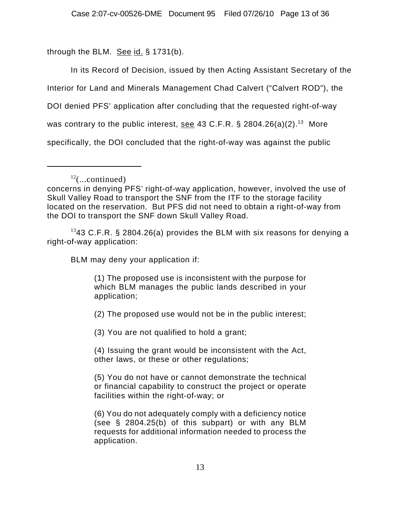through the BLM. See id.  $\S$  1731(b).

In its Record of Decision, issued by then Acting Assistant Secretary of the

Interior for Land and Minerals Management Chad Calvert ("Calvert ROD"), the

DOI denied PFS' application after concluding that the requested right-of-way

was contrary to the public interest, see 43 C.F.R. § 2804.26(a)(2).<sup>13</sup> More

specifically, the DOI concluded that the right-of-way was against the public

 $1343$  C.F.R. § 2804.26(a) provides the BLM with six reasons for denying a right-of-way application:

BLM may deny your application if:

(1) The proposed use is inconsistent with the purpose for which BLM manages the public lands described in your application;

(2) The proposed use would not be in the public interest;

(3) You are not qualified to hold a grant;

(4) Issuing the grant would be inconsistent with the Act, other laws, or these or other regulations;

(5) You do not have or cannot demonstrate the technical or financial capability to construct the project or operate facilities within the right-of-way; or

(6) You do not adequately comply with a deficiency notice (see § 2804.25(b) of this subpart) or with any BLM requests for additional information needed to process the application.

 $12$ (...continued)

concerns in denying PFS' right-of-way application, however, involved the use of Skull Valley Road to transport the SNF from the ITF to the storage facility located on the reservation. But PFS did not need to obtain a right-of-way from the DOI to transport the SNF down Skull Valley Road.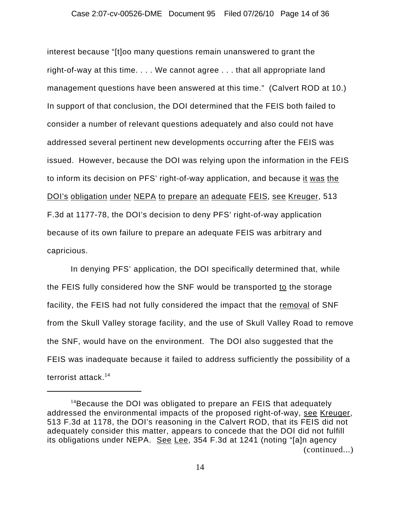#### Case 2:07-cv-00526-DME Document 95 Filed 07/26/10 Page 14 of 36

interest because "[t]oo many questions remain unanswered to grant the right-of-way at this time. . . . We cannot agree . . . that all appropriate land management questions have been answered at this time." (Calvert ROD at 10.) In support of that conclusion, the DOI determined that the FEIS both failed to consider a number of relevant questions adequately and also could not have addressed several pertinent new developments occurring after the FEIS was issued. However, because the DOI was relying upon the information in the FEIS to inform its decision on PFS' right-of-way application, and because it was the DOI's obligation under NEPA to prepare an adequate FEIS, see Kreuger, 513 F.3d at 1177-78, the DOI's decision to deny PFS' right-of-way application because of its own failure to prepare an adequate FEIS was arbitrary and capricious.

In denying PFS' application, the DOI specifically determined that, while the FEIS fully considered how the SNF would be transported to the storage facility, the FEIS had not fully considered the impact that the removal of SNF from the Skull Valley storage facility, and the use of Skull Valley Road to remove the SNF, would have on the environment. The DOI also suggested that the FEIS was inadequate because it failed to address sufficiently the possibility of a terrorist attack.<sup>14</sup>

 $14B$  Because the DOI was obligated to prepare an FEIS that adequately addressed the environmental impacts of the proposed right-of-way, see Kreuger, 513 F.3d at 1178, the DOI's reasoning in the Calvert ROD, that its FEIS did not adequately consider this matter, appears to concede that the DOI did not fulfill its obligations under NEPA. See Lee, 354 F.3d at 1241 (noting "[a]n agency (continued...)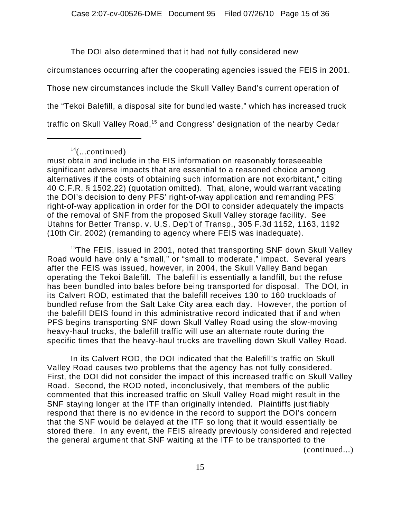The DOI also determined that it had not fully considered new

circumstances occurring after the cooperating agencies issued the FEIS in 2001. Those new circumstances include the Skull Valley Band's current operation of

the "Tekoi Balefill, a disposal site for bundled waste," which has increased truck

traffic on Skull Valley Road,<sup>15</sup> and Congress' designation of the nearby Cedar

must obtain and include in the EIS information on reasonably foreseeable significant adverse impacts that are essential to a reasoned choice among alternatives if the costs of obtaining such information are not exorbitant," citing 40 C.F.R. § 1502.22) (quotation omitted). That, alone, would warrant vacating the DOI's decision to deny PFS' right-of-way application and remanding PFS' right-of-way application in order for the DOI to consider adequately the impacts of the removal of SNF from the proposed Skull Valley storage facility. See Utahns for Better Transp. v. U.S. Dep't of Transp., 305 F.3d 1152, 1163, 1192 (10th Cir. 2002) (remanding to agency where FEIS was inadequate).

 $15$ The FEIS, issued in 2001, noted that transporting SNF down Skull Valley Road would have only a "small," or "small to moderate," impact. Several years after the FEIS was issued, however, in 2004, the Skull Valley Band began operating the Tekoi Balefill. The balefill is essentially a landfill, but the refuse has been bundled into bales before being transported for disposal. The DOI, in its Calvert ROD, estimated that the balefill receives 130 to 160 truckloads of bundled refuse from the Salt Lake City area each day. However, the portion of the balefill DEIS found in this administrative record indicated that if and when PFS begins transporting SNF down Skull Valley Road using the slow-moving heavy-haul trucks, the balefill traffic will use an alternate route during the specific times that the heavy-haul trucks are travelling down Skull Valley Road.

In its Calvert ROD, the DOI indicated that the Balefill's traffic on Skull Valley Road causes two problems that the agency has not fully considered. First, the DOI did not consider the impact of this increased traffic on Skull Valley Road. Second, the ROD noted, inconclusively, that members of the public commented that this increased traffic on Skull Valley Road might result in the SNF staying longer at the ITF than originally intended. Plaintiffs justifiably respond that there is no evidence in the record to support the DOI's concern that the SNF would be delayed at the ITF so long that it would essentially be stored there. In any event, the FEIS already previously considered and rejected the general argument that SNF waiting at the ITF to be transported to the (continued...)

 $14$ (...continued)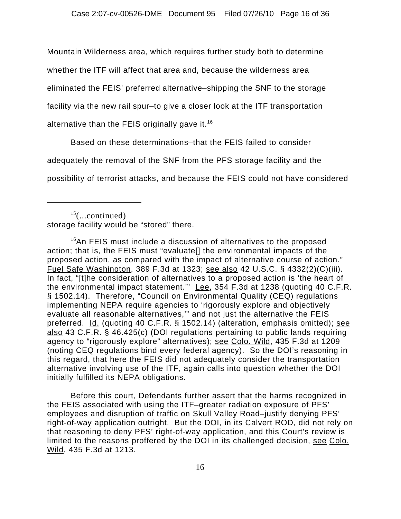Mountain Wilderness area, which requires further study both to determine

whether the ITF will affect that area and, because the wilderness area

eliminated the FEIS' preferred alternative–shipping the SNF to the storage

facility via the new rail spur–to give a closer look at the ITF transportation

alternative than the FEIS originally gave it.<sup>16</sup>

Based on these determinations–that the FEIS failed to consider

adequately the removal of the SNF from the PFS storage facility and the

possibility of terrorist attacks, and because the FEIS could not have considered

 $16$ An FEIS must include a discussion of alternatives to the proposed action; that is, the FEIS must "evaluate[] the environmental impacts of the proposed action, as compared with the impact of alternative course of action." Fuel Safe Washington, 389 F.3d at 1323; see also 42 U.S.C. § 4332(2)(C)(iii). In fact, "[t]he consideration of alternatives to a proposed action is 'the heart of the environmental impact statement." Lee, 354 F.3d at 1238 (quoting 40 C.F.R. § 1502.14). Therefore, "Council on Environmental Quality (CEQ) regulations implementing NEPA require agencies to 'rigorously explore and objectively evaluate all reasonable alternatives,'" and not just the alternative the FEIS preferred. Id. (quoting 40 C.F.R. § 1502.14) (alteration, emphasis omitted); see also 43 C.F.R. § 46.425(c) (DOI regulations pertaining to public lands requiring agency to "rigorously explore" alternatives); see Colo. Wild, 435 F.3d at 1209 (noting CEQ regulations bind every federal agency). So the DOI's reasoning in this regard, that here the FEIS did not adequately consider the transportation alternative involving use of the ITF, again calls into question whether the DOI initially fulfilled its NEPA obligations.

Before this court, Defendants further assert that the harms recognized in the FEIS associated with using the ITF–greater radiation exposure of PFS' employees and disruption of traffic on Skull Valley Road–justify denying PFS' right-of-way application outright. But the DOI, in its Calvert ROD, did not rely on that reasoning to deny PFS' right-of-way application, and this Court's review is limited to the reasons proffered by the DOI in its challenged decision, see Colo. Wild, 435 F.3d at 1213.

 $15$ (...continued) storage facility would be "stored" there.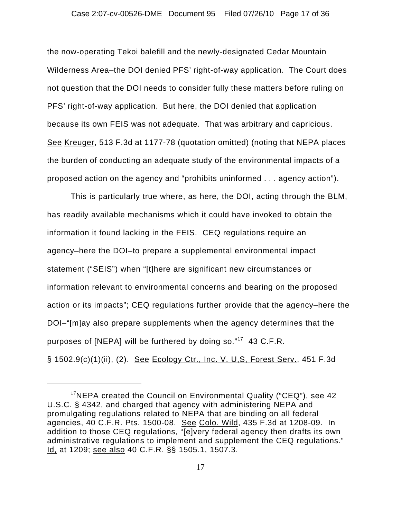### Case 2:07-cv-00526-DME Document 95 Filed 07/26/10 Page 17 of 36

the now-operating Tekoi balefill and the newly-designated Cedar Mountain Wilderness Area–the DOI denied PFS' right-of-way application. The Court does not question that the DOI needs to consider fully these matters before ruling on PFS' right-of-way application. But here, the DOI denied that application because its own FEIS was not adequate. That was arbitrary and capricious. See Kreuger, 513 F.3d at 1177-78 (quotation omitted) (noting that NEPA places the burden of conducting an adequate study of the environmental impacts of a proposed action on the agency and "prohibits uninformed . . . agency action").

This is particularly true where, as here, the DOI, acting through the BLM, has readily available mechanisms which it could have invoked to obtain the information it found lacking in the FEIS. CEQ regulations require an agency–here the DOI–to prepare a supplemental environmental impact statement ("SEIS") when "[t]here are significant new circumstances or information relevant to environmental concerns and bearing on the proposed action or its impacts"; CEQ regulations further provide that the agency–here the DOI–"[m]ay also prepare supplements when the agency determines that the purposes of [NEPA] will be furthered by doing so."<sup>17</sup> 43 C.F.R. § 1502.9(c)(1)(ii), (2). See Ecology Ctr., Inc. V. U,S, Forest Serv., 451 F.3d

 $17$ NEPA created the Council on Environmental Quality ("CEQ"), see 42 U.S.C. § 4342, and charged that agency with administering NEPA and promulgating regulations related to NEPA that are binding on all federal agencies, 40 C.F.R. Pts. 1500-08. See Colo. Wild, 435 F.3d at 1208-09. In addition to those CEQ regulations, "[e]very federal agency then drafts its own administrative regulations to implement and supplement the CEQ regulations." Id, at 1209; see also 40 C.F.R. §§ 1505.1, 1507.3.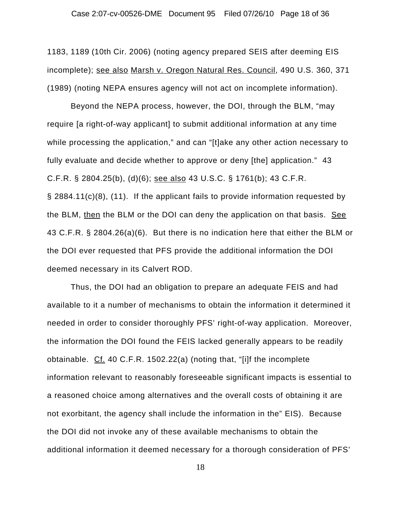1183, 1189 (10th Cir. 2006) (noting agency prepared SEIS after deeming EIS incomplete); see also Marsh v. Oregon Natural Res. Council, 490 U.S. 360, 371 (1989) (noting NEPA ensures agency will not act on incomplete information).

Beyond the NEPA process, however, the DOI, through the BLM, "may require [a right-of-way applicant] to submit additional information at any time while processing the application," and can "[t]ake any other action necessary to fully evaluate and decide whether to approve or deny [the] application." 43 C.F.R. § 2804.25(b), (d)(6); see also 43 U.S.C. § 1761(b); 43 C.F.R. § 2884.11(c)(8), (11). If the applicant fails to provide information requested by the BLM, then the BLM or the DOI can deny the application on that basis. See 43 C.F.R. § 2804.26(a)(6). But there is no indication here that either the BLM or the DOI ever requested that PFS provide the additional information the DOI deemed necessary in its Calvert ROD.

Thus, the DOI had an obligation to prepare an adequate FEIS and had available to it a number of mechanisms to obtain the information it determined it needed in order to consider thoroughly PFS' right-of-way application. Moreover, the information the DOI found the FEIS lacked generally appears to be readily obtainable. Cf. 40 C.F.R. 1502.22(a) (noting that, "[i]f the incomplete information relevant to reasonably foreseeable significant impacts is essential to a reasoned choice among alternatives and the overall costs of obtaining it are not exorbitant, the agency shall include the information in the" EIS). Because the DOI did not invoke any of these available mechanisms to obtain the additional information it deemed necessary for a thorough consideration of PFS'

18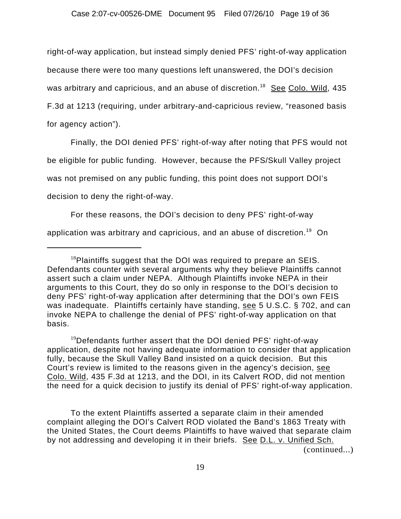right-of-way application, but instead simply denied PFS' right-of-way application because there were too many questions left unanswered, the DOI's decision was arbitrary and capricious, and an abuse of discretion.<sup>18</sup> See Colo. Wild, 435 F.3d at 1213 (requiring, under arbitrary-and-capricious review, "reasoned basis for agency action").

Finally, the DOI denied PFS' right-of-way after noting that PFS would not be eligible for public funding. However, because the PFS/Skull Valley project was not premised on any public funding, this point does not support DOI's decision to deny the right-of-way.

For these reasons, the DOI's decision to deny PFS' right-of-way application was arbitrary and capricious, and an abuse of discretion.<sup>19</sup> On

 $19$ Defendants further assert that the DOI denied PFS' right-of-way application, despite not having adequate information to consider that application fully, because the Skull Valley Band insisted on a quick decision. But this Court's review is limited to the reasons given in the agency's decision, see Colo. Wild, 435 F.3d at 1213, and the DOI, in its Calvert ROD, did not mention the need for a quick decision to justify its denial of PFS' right-of-way application.

To the extent Plaintiffs asserted a separate claim in their amended complaint alleging the DOI's Calvert ROD violated the Band's 1863 Treaty with the United States, the Court deems Plaintiffs to have waived that separate claim by not addressing and developing it in their briefs. See D.L. v. Unified Sch.

(continued...)

 $18$ Plaintiffs suggest that the DOI was required to prepare an SEIS. Defendants counter with several arguments why they believe Plaintiffs cannot assert such a claim under NEPA. Although Plaintiffs invoke NEPA in their arguments to this Court, they do so only in response to the DOI's decision to deny PFS' right-of-way application after determining that the DOI's own FEIS was inadequate. Plaintiffs certainly have standing, see 5 U.S.C. § 702, and can invoke NEPA to challenge the denial of PFS' right-of-way application on that basis.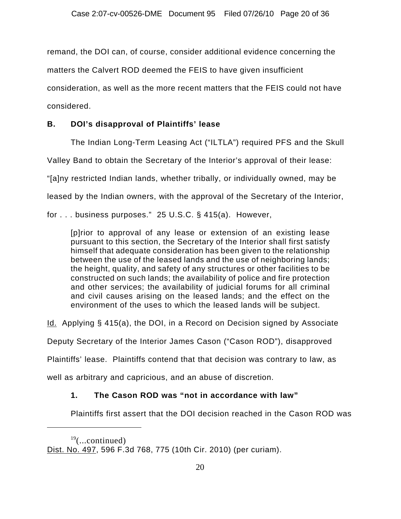remand, the DOI can, of course, consider additional evidence concerning the

matters the Calvert ROD deemed the FEIS to have given insufficient

consideration, as well as the more recent matters that the FEIS could not have

considered.

# **B. DOI's disapproval of Plaintiffs' lease**

The Indian Long-Term Leasing Act ("ILTLA") required PFS and the Skull

Valley Band to obtain the Secretary of the Interior's approval of their lease:

"[a]ny restricted Indian lands, whether tribally, or individually owned, may be

leased by the Indian owners, with the approval of the Secretary of the Interior,

for . . . business purposes." 25 U.S.C. § 415(a). However,

[p]rior to approval of any lease or extension of an existing lease pursuant to this section, the Secretary of the Interior shall first satisfy himself that adequate consideration has been given to the relationship between the use of the leased lands and the use of neighboring lands; the height, quality, and safety of any structures or other facilities to be constructed on such lands; the availability of police and fire protection and other services; the availability of judicial forums for all criminal and civil causes arising on the leased lands; and the effect on the environment of the uses to which the leased lands will be subject.

Id. Applying § 415(a), the DOI, in a Record on Decision signed by Associate

Deputy Secretary of the Interior James Cason ("Cason ROD"), disapproved

Plaintiffs' lease. Plaintiffs contend that that decision was contrary to law, as

well as arbitrary and capricious, and an abuse of discretion.

# **1. The Cason ROD was "not in accordance with law"**

Plaintiffs first assert that the DOI decision reached in the Cason ROD was

 $19$ (...continued)

Dist. No. 497, 596 F.3d 768, 775 (10th Cir. 2010) (per curiam).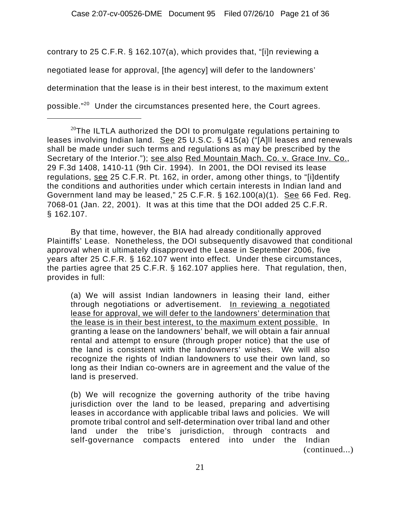contrary to 25 C.F.R. § 162.107(a), which provides that, "[i]n reviewing a negotiated lease for approval, [the agency] will defer to the landowners' determination that the lease is in their best interest, to the maximum extent possible."20 Under the circumstances presented here, the Court agrees.

By that time, however, the BIA had already conditionally approved Plaintiffs' Lease. Nonetheless, the DOI subsequently disavowed that conditional approval when it ultimately disapproved the Lease in September 2006, five years after 25 C.F.R. § 162.107 went into effect. Under these circumstances, the parties agree that 25 C.F.R. § 162.107 applies here. That regulation, then, provides in full:

(a) We will assist Indian landowners in leasing their land, either through negotiations or advertisement. In reviewing a negotiated lease for approval, we will defer to the landowners' determination that the lease is in their best interest, to the maximum extent possible. In granting a lease on the landowners' behalf, we will obtain a fair annual rental and attempt to ensure (through proper notice) that the use of the land is consistent with the landowners' wishes. We will also recognize the rights of Indian landowners to use their own land, so long as their Indian co-owners are in agreement and the value of the land is preserved.

(b) We will recognize the governing authority of the tribe having jurisdiction over the land to be leased, preparing and advertising leases in accordance with applicable tribal laws and policies. We will promote tribal control and self-determination over tribal land and other land under the tribe's jurisdiction, through contracts and self-governance compacts entered into under the Indian (continued...)

 $^{20}$ The ILTLA authorized the DOI to promulgate regulations pertaining to leases involving Indian land. See 25 U.S.C. § 415(a) ("[A]II leases and renewals shall be made under such terms and regulations as may be prescribed by the Secretary of the Interior."); see also Red Mountain Mach. Co. v. Grace Inv. Co., 29 F.3d 1408, 1410-11 (9th Cir. 1994). In 2001, the DOI revised its lease regulations, see 25 C.F.R. Pt. 162, in order, among other things, to "[i]dentify the conditions and authorities under which certain interests in Indian land and Government land may be leased," 25 C.F.R. § 162.100(a)(1). See 66 Fed. Reg. 7068-01 (Jan. 22, 2001). It was at this time that the DOI added 25 C.F.R. § 162.107.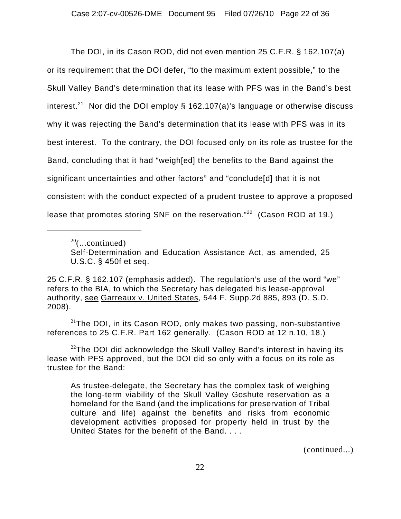The DOI, in its Cason ROD, did not even mention 25 C.F.R. § 162.107(a) or its requirement that the DOI defer, "to the maximum extent possible," to the Skull Valley Band's determination that its lease with PFS was in the Band's best interest.<sup>21</sup> Nor did the DOI employ § 162.107(a)'s language or otherwise discuss why it was rejecting the Band's determination that its lease with PFS was in its best interest. To the contrary, the DOI focused only on its role as trustee for the Band, concluding that it had "weigh[ed] the benefits to the Band against the significant uncertainties and other factors" and "conclude[d] that it is not consistent with the conduct expected of a prudent trustee to approve a proposed lease that promotes storing SNF on the reservation."<sup>22</sup> (Cason ROD at 19.)

 $20$ (...continued)

 $21$ The DOI, in its Cason ROD, only makes two passing, non-substantive references to 25 C.F.R. Part 162 generally. (Cason ROD at 12 n.10, 18.)

(continued...)

Self-Determination and Education Assistance Act, as amended, 25 U.S.C. § 450f et seq.

<sup>25</sup> C.F.R. § 162.107 (emphasis added). The regulation's use of the word "we" refers to the BIA, to which the Secretary has delegated his lease-approval authority, see Garreaux v. United States, 544 F. Supp.2d 885, 893 (D. S.D. 2008).

 $22$ The DOI did acknowledge the Skull Valley Band's interest in having its lease with PFS approved, but the DOI did so only with a focus on its role as trustee for the Band:

As trustee-delegate, the Secretary has the complex task of weighing the long-term viability of the Skull Valley Goshute reservation as a homeland for the Band (and the implications for preservation of Tribal culture and life) against the benefits and risks from economic development activities proposed for property held in trust by the United States for the benefit of the Band. . . .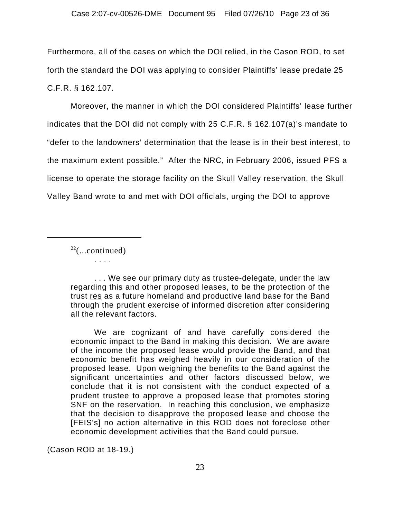Furthermore, all of the cases on which the DOI relied, in the Cason ROD, to set forth the standard the DOI was applying to consider Plaintiffs' lease predate 25 C.F.R. § 162.107.

Moreover, the manner in which the DOI considered Plaintiffs' lease further indicates that the DOI did not comply with 25 C.F.R. § 162.107(a)'s mandate to "defer to the landowners' determination that the lease is in their best interest, to the maximum extent possible." After the NRC, in February 2006, issued PFS a license to operate the storage facility on the Skull Valley reservation, the Skull Valley Band wrote to and met with DOI officials, urging the DOI to approve

 $22$ (...continued) . . . .

. . . We see our primary duty as trustee-delegate, under the law regarding this and other proposed leases, to be the protection of the trust res as a future homeland and productive land base for the Band through the prudent exercise of informed discretion after considering all the relevant factors.

We are cognizant of and have carefully considered the economic impact to the Band in making this decision. We are aware of the income the proposed lease would provide the Band, and that economic benefit has weighed heavily in our consideration of the proposed lease. Upon weighing the benefits to the Band against the significant uncertainties and other factors discussed below, we conclude that it is not consistent with the conduct expected of a prudent trustee to approve a proposed lease that promotes storing SNF on the reservation. In reaching this conclusion, we emphasize that the decision to disapprove the proposed lease and choose the [FEIS's] no action alternative in this ROD does not foreclose other economic development activities that the Band could pursue.

(Cason ROD at 18-19.)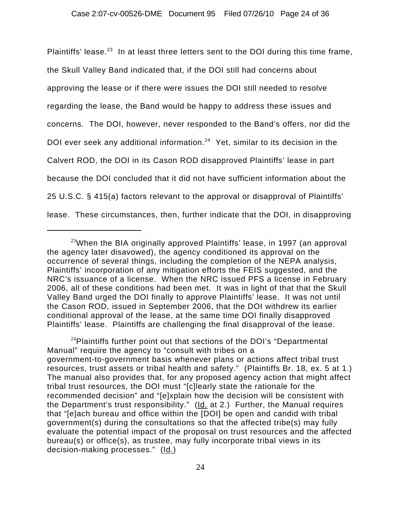Plaintiffs' lease.<sup>23</sup> In at least three letters sent to the DOI during this time frame, the Skull Valley Band indicated that, if the DOI still had concerns about approving the lease or if there were issues the DOI still needed to resolve regarding the lease, the Band would be happy to address these issues and concerns. The DOI, however, never responded to the Band's offers, nor did the DOI ever seek any additional information.<sup>24</sup> Yet, similar to its decision in the Calvert ROD, the DOI in its Cason ROD disapproved Plaintiffs' lease in part because the DOI concluded that it did not have sufficient information about the 25 U.S.C. § 415(a) factors relevant to the approval or disapproval of Plaintiffs' lease. These circumstances, then, further indicate that the DOI, in disapproving

 $24$ Plaintiffs further point out that sections of the DOI's "Departmental Manual" require the agency to "consult with tribes on a government-to-government basis whenever plans or actions affect tribal trust resources, trust assets or tribal health and safety." (Plaintiffs Br. 18, ex. 5 at 1.) The manual also provides that, for any proposed agency action that might affect tribal trust resources, the DOI must "[c]learly state the rationale for the recommended decision" and "[e]xplain how the decision will be consistent with the Department's trust responsibility." (Id. at 2.) Further, the Manual requires that "[e]ach bureau and office within the [DOI] be open and candid with tribal government(s) during the consultations so that the affected tribe(s) may fully evaluate the potential impact of the proposal on trust resources and the affected bureau(s) or office(s), as trustee, may fully incorporate tribal views in its decision-making processes." (Id.)

 $23$ When the BIA originally approved Plaintiffs' lease, in 1997 (an approval the agency later disavowed), the agency conditioned its approval on the occurrence of several things, including the completion of the NEPA analysis, Plaintiffs' incorporation of any mitigation efforts the FEIS suggested, and the NRC's issuance of a license. When the NRC issued PFS a license in February 2006, all of these conditions had been met. It was in light of that that the Skull Valley Band urged the DOI finally to approve Plaintiffs' lease. It was not until the Cason ROD, issued in September 2006, that the DOI withdrew its earlier conditional approval of the lease, at the same time DOI finally disapproved Plaintiffs' lease. Plaintiffs are challenging the final disapproval of the lease.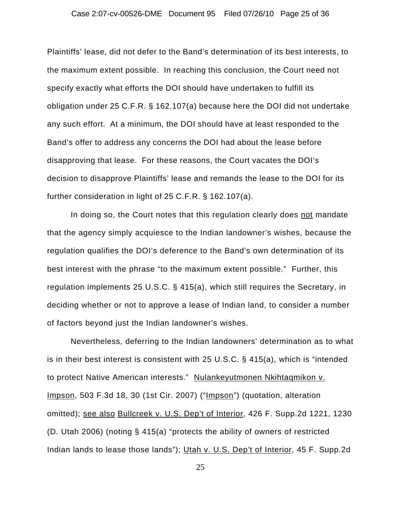### Case 2:07-cv-00526-DME Document 95 Filed 07/26/10 Page 25 of 36

Plaintiffs' lease, did not defer to the Band's determination of its best interests, to the maximum extent possible. In reaching this conclusion, the Court need not specify exactly what efforts the DOI should have undertaken to fulfill its obligation under 25 C.F.R. § 162.107(a) because here the DOI did not undertake any such effort. At a minimum, the DOI should have at least responded to the Band's offer to address any concerns the DOI had about the lease before disapproving that lease. For these reasons, the Court vacates the DOI's decision to disapprove Plaintiffs' lease and remands the lease to the DOI for its further consideration in light of 25 C.F.R. § 162.107(a).

In doing so, the Court notes that this regulation clearly does not mandate that the agency simply acquiesce to the Indian landowner's wishes, because the regulation qualifies the DOI's deference to the Band's own determination of its best interest with the phrase "to the maximum extent possible." Further, this regulation implements 25 U.S.C. § 415(a), which still requires the Secretary, in deciding whether or not to approve a lease of Indian land, to consider a number of factors beyond just the Indian landowner's wishes.

Nevertheless, deferring to the Indian landowners' determination as to what is in their best interest is consistent with 25 U.S.C. § 415(a), which is "intended to protect Native American interests." Nulankeyutmonen Nkihtaqmikon v. Impson, 503 F.3d 18, 30 (1st Cir. 2007) ("Impson") (quotation, alteration omitted); see also Bullcreek v. U.S. Dep't of Interior, 426 F. Supp.2d 1221, 1230 (D. Utah 2006) (noting § 415(a) "protects the ability of owners of restricted Indian lands to lease those lands"); Utah v. U.S. Dep't of Interior, 45 F. Supp.2d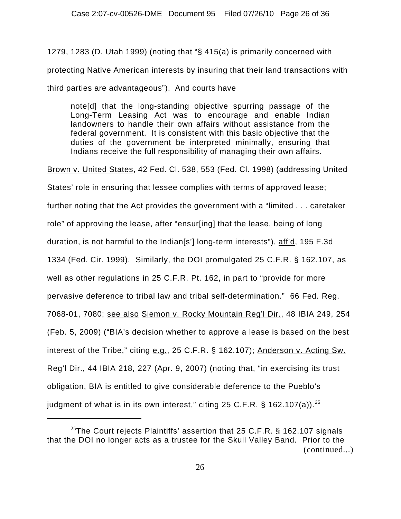1279, 1283 (D. Utah 1999) (noting that "§ 415(a) is primarily concerned with protecting Native American interests by insuring that their land transactions with third parties are advantageous"). And courts have

note[d] that the long-standing objective spurring passage of the Long-Term Leasing Act was to encourage and enable Indian landowners to handle their own affairs without assistance from the federal government. It is consistent with this basic objective that the duties of the government be interpreted minimally, ensuring that Indians receive the full responsibility of managing their own affairs.

Brown v. United States, 42 Fed. Cl. 538, 553 (Fed. Cl. 1998) (addressing United

States' role in ensuring that lessee complies with terms of approved lease;

further noting that the Act provides the government with a "limited . . . caretaker

role" of approving the lease, after "ensur[ing] that the lease, being of long

duration, is not harmful to the Indian[s'] long-term interests"), aff'd, 195 F.3d

1334 (Fed. Cir. 1999). Similarly, the DOI promulgated 25 C.F.R. § 162.107, as

well as other regulations in 25 C.F.R. Pt. 162, in part to "provide for more

pervasive deference to tribal law and tribal self-determination." 66 Fed. Reg.

7068-01, 7080; see also Siemon v. Rocky Mountain Reg'l Dir., 48 IBIA 249, 254

(Feb. 5, 2009) ("BIA's decision whether to approve a lease is based on the best

interest of the Tribe," citing e.g., 25 C.F.R. § 162.107); Anderson v. Acting Sw.

Reg'l Dir., 44 IBIA 218, 227 (Apr. 9, 2007) (noting that, "in exercising its trust

obligation, BIA is entitled to give considerable deference to the Pueblo's

judgment of what is in its own interest," citing 25 C.F.R. § 162.107(a)).<sup>25</sup>

<sup>&</sup>lt;sup>25</sup>The Court rejects Plaintiffs' assertion that 25 C.F.R. § 162.107 signals that the DOI no longer acts as a trustee for the Skull Valley Band. Prior to the (continued...)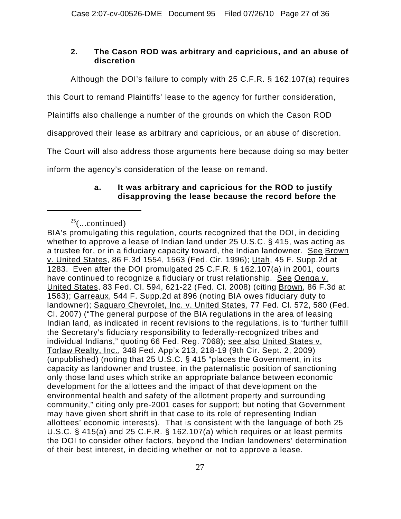## **2. The Cason ROD was arbitrary and capricious, and an abuse of discretion**

Although the DOI's failure to comply with 25 C.F.R. § 162.107(a) requires

this Court to remand Plaintiffs' lease to the agency for further consideration,

Plaintiffs also challenge a number of the grounds on which the Cason ROD

disapproved their lease as arbitrary and capricious, or an abuse of discretion.

The Court will also address those arguments here because doing so may better

inform the agency's consideration of the lease on remand.

## **a. It was arbitrary and capricious for the ROD to justify disapproving the lease because the record before the**

 $25$ (...continued)

BIA's promulgating this regulation, courts recognized that the DOI, in deciding whether to approve a lease of Indian land under 25 U.S.C. § 415, was acting as a trustee for, or in a fiduciary capacity toward, the Indian landowner. See Brown v. United States, 86 F.3d 1554, 1563 (Fed. Cir. 1996); Utah, 45 F. Supp.2d at 1283. Even after the DOI promulgated 25 C.F.R. § 162.107(a) in 2001, courts have continued to recognize a fiduciary or trust relationship. See Oenga v. United States, 83 Fed. Cl. 594, 621-22 (Fed. Cl. 2008) (citing Brown, 86 F.3d at 1563); Garreaux, 544 F. Supp.2d at 896 (noting BIA owes fiduciary duty to landowner); Saguaro Chevrolet, Inc. v. United States, 77 Fed. Cl. 572, 580 (Fed. Cl. 2007) ("The general purpose of the BIA regulations in the area of leasing Indian land, as indicated in recent revisions to the regulations, is to 'further fulfill the Secretary's fiduciary responsibility to federally-recognized tribes and individual Indians," quoting 66 Fed. Reg. 7068); see also United States v. Torlaw Realty, Inc., 348 Fed. App'x 213, 218-19 (9th Cir. Sept. 2, 2009) (unpublished) (noting that 25 U.S.C. § 415 "places the Government, in its capacity as landowner and trustee, in the paternalistic position of sanctioning only those land uses which strike an appropriate balance between economic development for the allottees and the impact of that development on the environmental health and safety of the allotment property and surrounding community," citing only pre-2001 cases for support; but noting that Government may have given short shrift in that case to its role of representing Indian allottees' economic interests). That is consistent with the language of both 25 U.S.C. § 415(a) and 25 C.F.R. § 162.107(a) which requires or at least permits the DOI to consider other factors, beyond the Indian landowners' determination of their best interest, in deciding whether or not to approve a lease.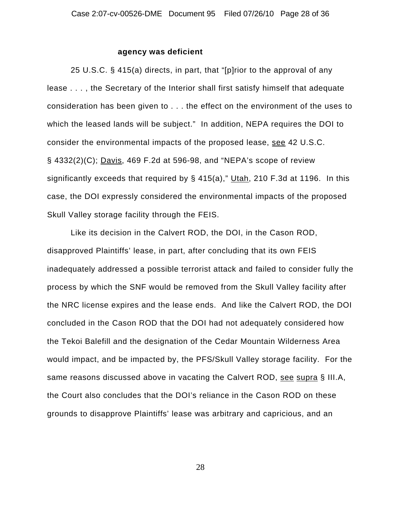### **agency was deficient**

25 U.S.C. § 415(a) directs, in part, that "[p]rior to the approval of any lease . . . , the Secretary of the Interior shall first satisfy himself that adequate consideration has been given to . . . the effect on the environment of the uses to which the leased lands will be subject." In addition, NEPA requires the DOI to consider the environmental impacts of the proposed lease, see 42 U.S.C. § 4332(2)(C); Davis, 469 F.2d at 596-98, and "NEPA's scope of review significantly exceeds that required by § 415(a)," Utah, 210 F.3d at 1196. In this case, the DOI expressly considered the environmental impacts of the proposed Skull Valley storage facility through the FEIS.

Like its decision in the Calvert ROD, the DOI, in the Cason ROD, disapproved Plaintiffs' lease, in part, after concluding that its own FEIS inadequately addressed a possible terrorist attack and failed to consider fully the process by which the SNF would be removed from the Skull Valley facility after the NRC license expires and the lease ends. And like the Calvert ROD, the DOI concluded in the Cason ROD that the DOI had not adequately considered how the Tekoi Balefill and the designation of the Cedar Mountain Wilderness Area would impact, and be impacted by, the PFS/Skull Valley storage facility. For the same reasons discussed above in vacating the Calvert ROD, see supra § III.A, the Court also concludes that the DOI's reliance in the Cason ROD on these grounds to disapprove Plaintiffs' lease was arbitrary and capricious, and an

28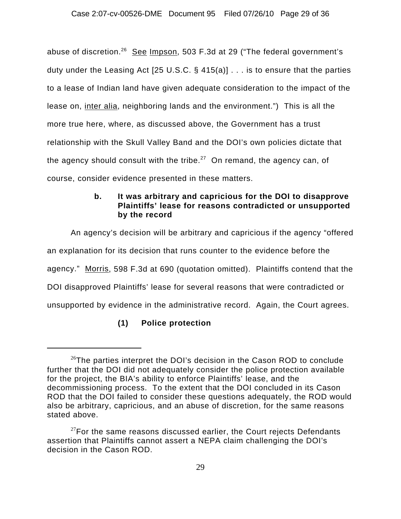abuse of discretion.<sup>26</sup> See Impson, 503 F.3d at 29 ("The federal government's duty under the Leasing Act [25 U.S.C. § 415(a)] . . . is to ensure that the parties to a lease of Indian land have given adequate consideration to the impact of the lease on, inter alia, neighboring lands and the environment.") This is all the more true here, where, as discussed above, the Government has a trust relationship with the Skull Valley Band and the DOI's own policies dictate that the agency should consult with the tribe.<sup>27</sup> On remand, the agency can, of course, consider evidence presented in these matters.

## **b. It was arbitrary and capricious for the DOI to disapprove Plaintiffs' lease for reasons contradicted or unsupported by the record**

An agency's decision will be arbitrary and capricious if the agency "offered an explanation for its decision that runs counter to the evidence before the agency." Morris, 598 F.3d at 690 (quotation omitted). Plaintiffs contend that the DOI disapproved Plaintiffs' lease for several reasons that were contradicted or unsupported by evidence in the administrative record. Again, the Court agrees.

# **(1) Police protection**

 $26$ The parties interpret the DOI's decision in the Cason ROD to conclude further that the DOI did not adequately consider the police protection available for the project, the BIA's ability to enforce Plaintiffs' lease, and the decommissioning process. To the extent that the DOI concluded in its Cason ROD that the DOI failed to consider these questions adequately, the ROD would also be arbitrary, capricious, and an abuse of discretion, for the same reasons stated above.

 $27$ For the same reasons discussed earlier, the Court rejects Defendants assertion that Plaintiffs cannot assert a NEPA claim challenging the DOI's decision in the Cason ROD.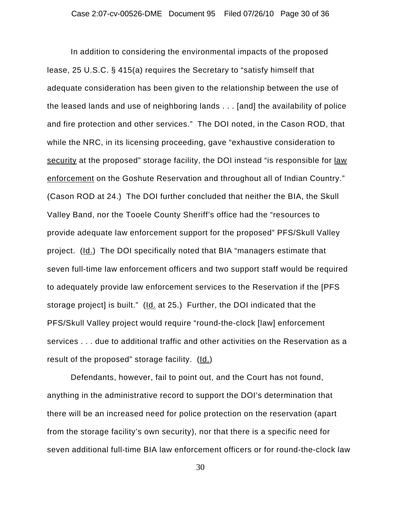In addition to considering the environmental impacts of the proposed lease, 25 U.S.C. § 415(a) requires the Secretary to "satisfy himself that adequate consideration has been given to the relationship between the use of the leased lands and use of neighboring lands . . . [and] the availability of police and fire protection and other services." The DOI noted, in the Cason ROD, that while the NRC, in its licensing proceeding, gave "exhaustive consideration to security at the proposed" storage facility, the DOI instead "is responsible for law enforcement on the Goshute Reservation and throughout all of Indian Country." (Cason ROD at 24.) The DOI further concluded that neither the BIA, the Skull Valley Band, nor the Tooele County Sheriff's office had the "resources to provide adequate law enforcement support for the proposed" PFS/Skull Valley project. (Id.) The DOI specifically noted that BIA "managers estimate that seven full-time law enforcement officers and two support staff would be required to adequately provide law enforcement services to the Reservation if the [PFS storage project] is built." (Id. at 25.) Further, the DOI indicated that the PFS/Skull Valley project would require "round-the-clock [law] enforcement services . . . due to additional traffic and other activities on the Reservation as a result of the proposed" storage facility. (Id.)

Defendants, however, fail to point out, and the Court has not found, anything in the administrative record to support the DOI's determination that there will be an increased need for police protection on the reservation (apart from the storage facility's own security), nor that there is a specific need for seven additional full-time BIA law enforcement officers or for round-the-clock law

30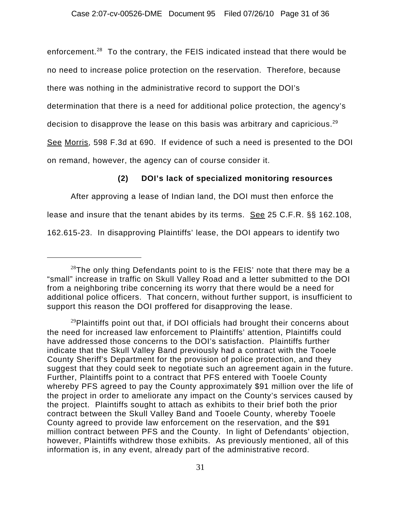enforcement.<sup>28</sup> To the contrary, the FEIS indicated instead that there would be no need to increase police protection on the reservation. Therefore, because there was nothing in the administrative record to support the DOI's determination that there is a need for additional police protection, the agency's decision to disapprove the lease on this basis was arbitrary and capricious.<sup>29</sup> See Morris, 598 F.3d at 690. If evidence of such a need is presented to the DOI on remand, however, the agency can of course consider it.

## **(2) DOI's lack of specialized monitoring resources**

After approving a lease of Indian land, the DOI must then enforce the lease and insure that the tenant abides by its terms. See 25 C.F.R. §§ 162.108, 162.615-23. In disapproving Plaintiffs' lease, the DOI appears to identify two

 $28$ The only thing Defendants point to is the FEIS' note that there may be a "small" increase in traffic on Skull Valley Road and a letter submitted to the DOI from a neighboring tribe concerning its worry that there would be a need for additional police officers. That concern, without further support, is insufficient to support this reason the DOI proffered for disapproving the lease.

 $^{29}$ Plaintiffs point out that, if DOI officials had brought their concerns about the need for increased law enforcement to Plaintiffs' attention, Plaintiffs could have addressed those concerns to the DOI's satisfaction. Plaintiffs further indicate that the Skull Valley Band previously had a contract with the Tooele County Sheriff's Department for the provision of police protection, and they suggest that they could seek to negotiate such an agreement again in the future. Further, Plaintiffs point to a contract that PFS entered with Tooele County whereby PFS agreed to pay the County approximately \$91 million over the life of the project in order to ameliorate any impact on the County's services caused by the project. Plaintiffs sought to attach as exhibits to their brief both the prior contract between the Skull Valley Band and Tooele County, whereby Tooele County agreed to provide law enforcement on the reservation, and the \$91 million contract between PFS and the County. In light of Defendants' objection, however, Plaintiffs withdrew those exhibits. As previously mentioned, all of this information is, in any event, already part of the administrative record.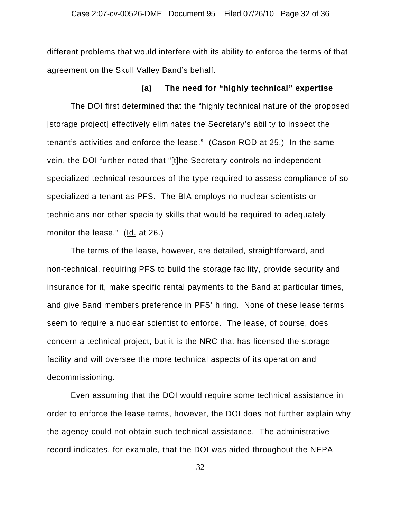different problems that would interfere with its ability to enforce the terms of that agreement on the Skull Valley Band's behalf.

### **(a) The need for "highly technical" expertise**

The DOI first determined that the "highly technical nature of the proposed [storage project] effectively eliminates the Secretary's ability to inspect the tenant's activities and enforce the lease." (Cason ROD at 25.) In the same vein, the DOI further noted that "[t]he Secretary controls no independent specialized technical resources of the type required to assess compliance of so specialized a tenant as PFS. The BIA employs no nuclear scientists or technicians nor other specialty skills that would be required to adequately monitor the lease." (Id. at 26.)

The terms of the lease, however, are detailed, straightforward, and non-technical, requiring PFS to build the storage facility, provide security and insurance for it, make specific rental payments to the Band at particular times, and give Band members preference in PFS' hiring. None of these lease terms seem to require a nuclear scientist to enforce. The lease, of course, does concern a technical project, but it is the NRC that has licensed the storage facility and will oversee the more technical aspects of its operation and decommissioning.

Even assuming that the DOI would require some technical assistance in order to enforce the lease terms, however, the DOI does not further explain why the agency could not obtain such technical assistance. The administrative record indicates, for example, that the DOI was aided throughout the NEPA

32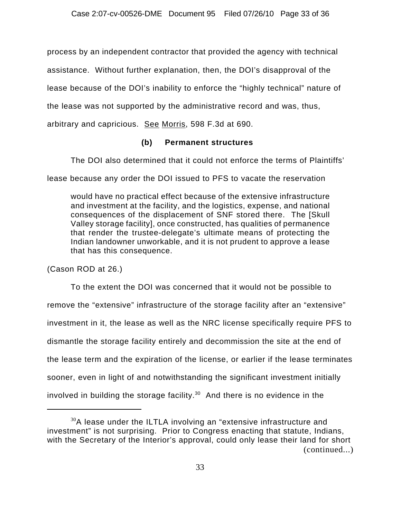process by an independent contractor that provided the agency with technical

assistance. Without further explanation, then, the DOI's disapproval of the

lease because of the DOI's inability to enforce the "highly technical" nature of

the lease was not supported by the administrative record and was, thus,

arbitrary and capricious. See Morris, 598 F.3d at 690.

## **(b) Permanent structures**

The DOI also determined that it could not enforce the terms of Plaintiffs'

lease because any order the DOI issued to PFS to vacate the reservation

would have no practical effect because of the extensive infrastructure and investment at the facility, and the logistics, expense, and national consequences of the displacement of SNF stored there. The [Skull Valley storage facility], once constructed, has qualities of permanence that render the trustee-delegate's ultimate means of protecting the Indian landowner unworkable, and it is not prudent to approve a lease that has this consequence.

(Cason ROD at 26.)

To the extent the DOI was concerned that it would not be possible to remove the "extensive" infrastructure of the storage facility after an "extensive" investment in it, the lease as well as the NRC license specifically require PFS to dismantle the storage facility entirely and decommission the site at the end of the lease term and the expiration of the license, or earlier if the lease terminates sooner, even in light of and notwithstanding the significant investment initially involved in building the storage facility.<sup>30</sup> And there is no evidence in the

 $30A$  lease under the ILTLA involving an "extensive infrastructure and investment" is not surprising. Prior to Congress enacting that statute, Indians, with the Secretary of the Interior's approval, could only lease their land for short (continued...)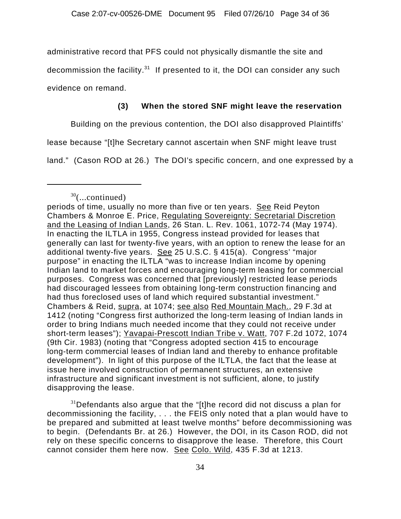administrative record that PFS could not physically dismantle the site and

decommission the facility. $31$  If presented to it, the DOI can consider any such

evidence on remand.

# **(3) When the stored SNF might leave the reservation**

Building on the previous contention, the DOI also disapproved Plaintiffs'

lease because "[t]he Secretary cannot ascertain when SNF might leave trust

land." (Cason ROD at 26.) The DOI's specific concern, and one expressed by a

 $31$ Defendants also argue that the "[t]he record did not discuss a plan for decommissioning the facility, . . . the FEIS only noted that a plan would have to be prepared and submitted at least twelve months" before decommissioning was to begin. (Defendants Br. at 26.) However, the DOI, in its Cason ROD, did not rely on these specific concerns to disapprove the lease. Therefore, this Court cannot consider them here now. See Colo. Wild, 435 F.3d at 1213.

 $30$ (...continued)

periods of time, usually no more than five or ten years. See Reid Peyton Chambers & Monroe E. Price, Regulating Sovereignty: Secretarial Discretion and the Leasing of Indian Lands, 26 Stan. L. Rev. 1061, 1072-74 (May 1974). In enacting the ILTLA in 1955, Congress instead provided for leases that generally can last for twenty-five years, with an option to renew the lease for an additional twenty-five years. See 25 U.S.C. § 415(a). Congress' "major purpose" in enacting the ILTLA "was to increase Indian income by opening Indian land to market forces and encouraging long-term leasing for commercial purposes. Congress was concerned that [previously] restricted lease periods had discouraged lessees from obtaining long-term construction financing and had thus foreclosed uses of land which required substantial investment." Chambers & Reid, supra, at 1074; see also Red Mountain Mach., 29 F.3d at 1412 (noting "Congress first authorized the long-term leasing of Indian lands in order to bring Indians much needed income that they could not receive under short-term leases"); Yavapai-Prescott Indian Tribe v. Watt, 707 F.2d 1072, 1074 (9th Cir. 1983) (noting that "Congress adopted section 415 to encourage long-term commercial leases of Indian land and thereby to enhance profitable development"). In light of this purpose of the ILTLA, the fact that the lease at issue here involved construction of permanent structures, an extensive infrastructure and significant investment is not sufficient, alone, to justify disapproving the lease.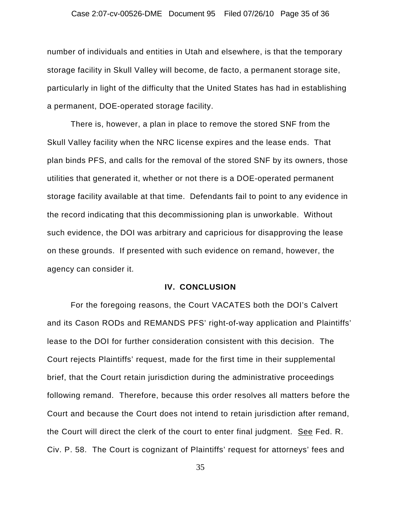### Case 2:07-cv-00526-DME Document 95 Filed 07/26/10 Page 35 of 36

number of individuals and entities in Utah and elsewhere, is that the temporary storage facility in Skull Valley will become, de facto, a permanent storage site, particularly in light of the difficulty that the United States has had in establishing a permanent, DOE-operated storage facility.

There is, however, a plan in place to remove the stored SNF from the Skull Valley facility when the NRC license expires and the lease ends. That plan binds PFS, and calls for the removal of the stored SNF by its owners, those utilities that generated it, whether or not there is a DOE-operated permanent storage facility available at that time. Defendants fail to point to any evidence in the record indicating that this decommissioning plan is unworkable. Without such evidence, the DOI was arbitrary and capricious for disapproving the lease on these grounds. If presented with such evidence on remand, however, the agency can consider it.

### **IV. CONCLUSION**

For the foregoing reasons, the Court VACATES both the DOI's Calvert and its Cason RODs and REMANDS PFS' right-of-way application and Plaintiffs' lease to the DOI for further consideration consistent with this decision. The Court rejects Plaintiffs' request, made for the first time in their supplemental brief, that the Court retain jurisdiction during the administrative proceedings following remand. Therefore, because this order resolves all matters before the Court and because the Court does not intend to retain jurisdiction after remand, the Court will direct the clerk of the court to enter final judgment. See Fed. R. Civ. P. 58. The Court is cognizant of Plaintiffs' request for attorneys' fees and

35